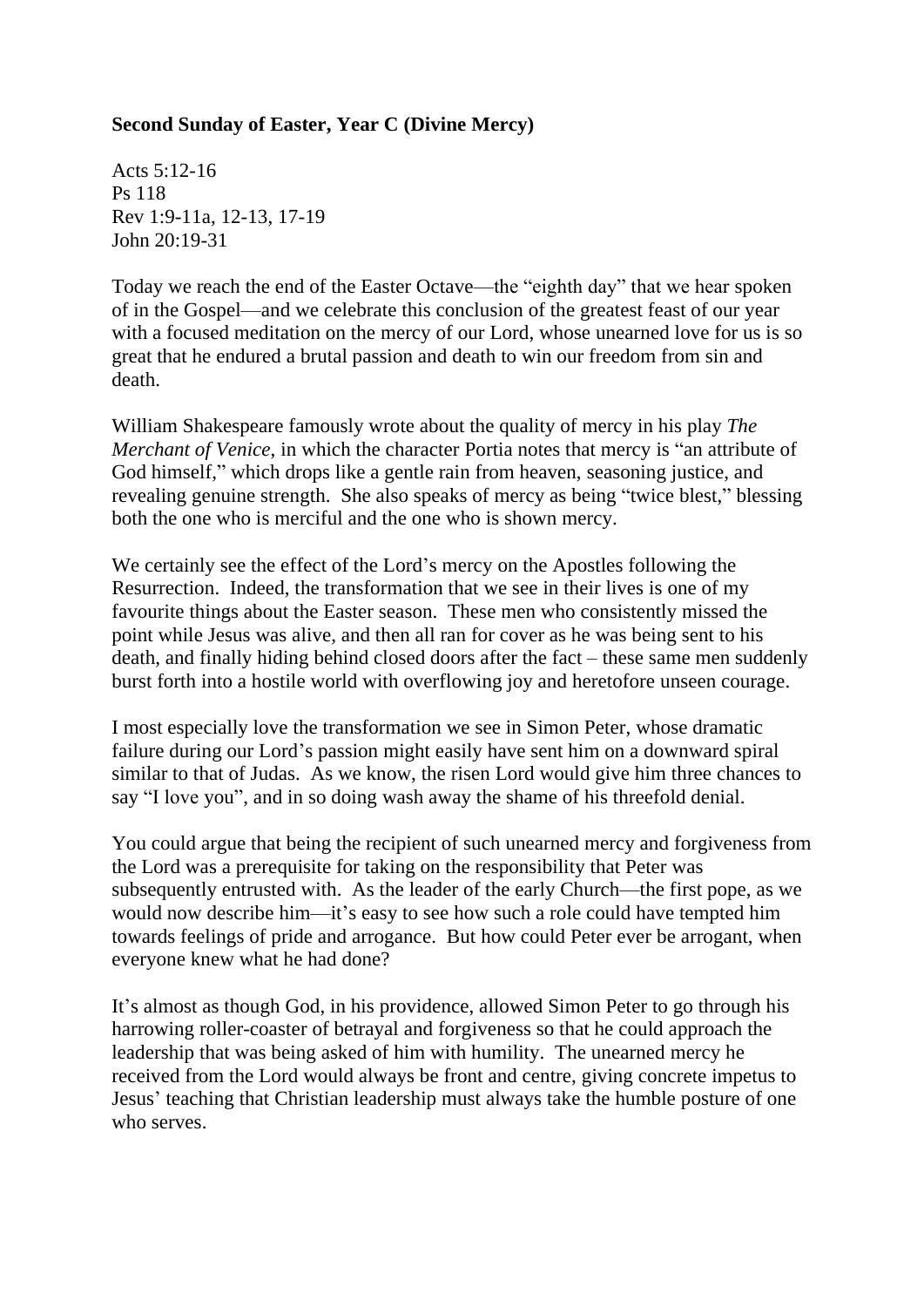## **Second Sunday of Easter, Year C (Divine Mercy)**

Acts 5:12-16 Ps 118 Rev 1:9-11a, 12-13, 17-19 John 20:19-31

Today we reach the end of the Easter Octave—the "eighth day" that we hear spoken of in the Gospel—and we celebrate this conclusion of the greatest feast of our year with a focused meditation on the mercy of our Lord, whose unearned love for us is so great that he endured a brutal passion and death to win our freedom from sin and death.

William Shakespeare famously wrote about the quality of mercy in his play *The Merchant of Venice*, in which the character Portia notes that mercy is "an attribute of God himself," which drops like a gentle rain from heaven, seasoning justice, and revealing genuine strength. She also speaks of mercy as being "twice blest," blessing both the one who is merciful and the one who is shown mercy.

We certainly see the effect of the Lord's mercy on the Apostles following the Resurrection. Indeed, the transformation that we see in their lives is one of my favourite things about the Easter season. These men who consistently missed the point while Jesus was alive, and then all ran for cover as he was being sent to his death, and finally hiding behind closed doors after the fact – these same men suddenly burst forth into a hostile world with overflowing joy and heretofore unseen courage.

I most especially love the transformation we see in Simon Peter, whose dramatic failure during our Lord's passion might easily have sent him on a downward spiral similar to that of Judas. As we know, the risen Lord would give him three chances to say "I love you", and in so doing wash away the shame of his threefold denial.

You could argue that being the recipient of such unearned mercy and forgiveness from the Lord was a prerequisite for taking on the responsibility that Peter was subsequently entrusted with. As the leader of the early Church—the first pope, as we would now describe him—it's easy to see how such a role could have tempted him towards feelings of pride and arrogance. But how could Peter ever be arrogant, when everyone knew what he had done?

It's almost as though God, in his providence, allowed Simon Peter to go through his harrowing roller-coaster of betrayal and forgiveness so that he could approach the leadership that was being asked of him with humility. The unearned mercy he received from the Lord would always be front and centre, giving concrete impetus to Jesus' teaching that Christian leadership must always take the humble posture of one who serves.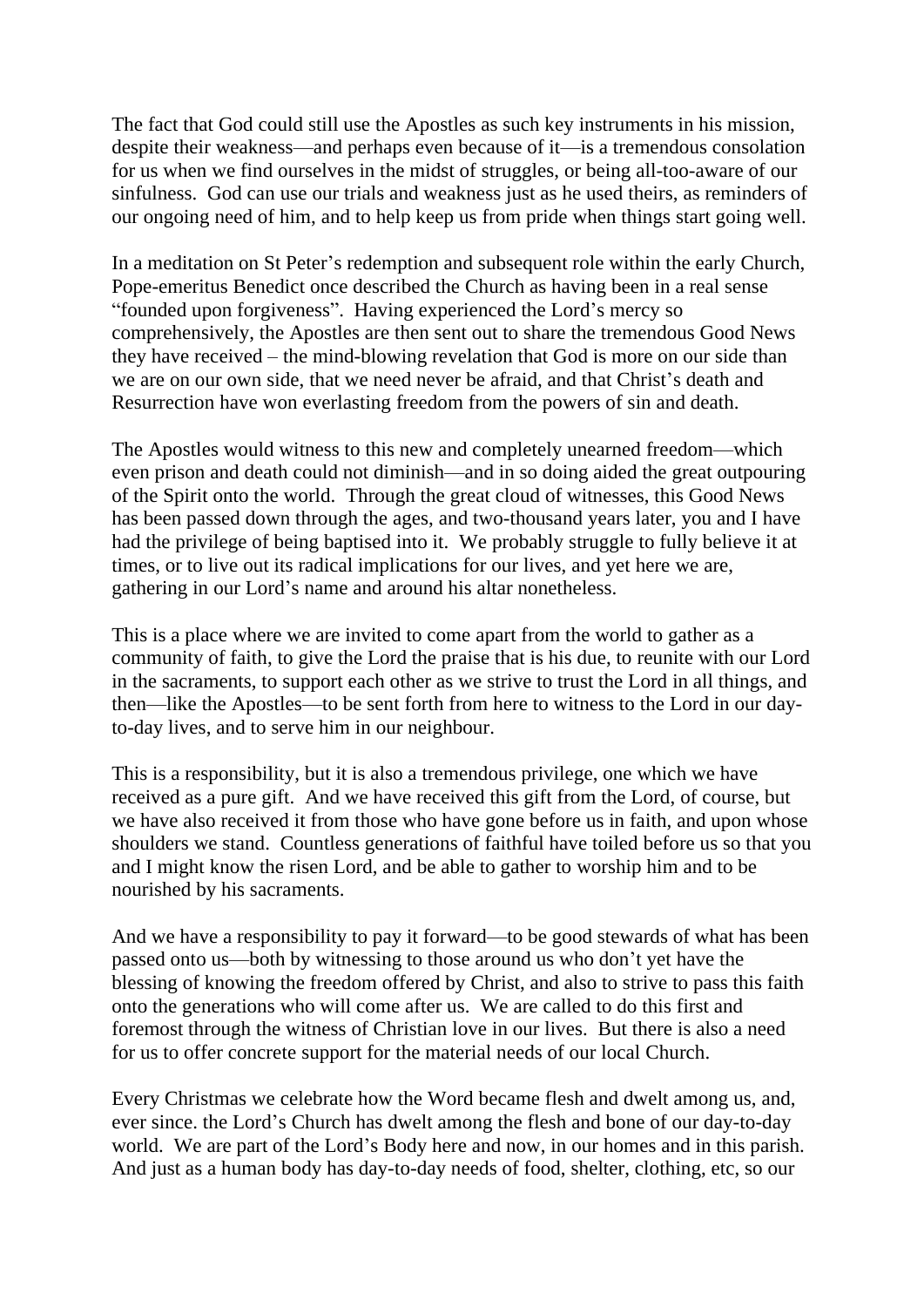The fact that God could still use the Apostles as such key instruments in his mission, despite their weakness—and perhaps even because of it—is a tremendous consolation for us when we find ourselves in the midst of struggles, or being all-too-aware of our sinfulness. God can use our trials and weakness just as he used theirs, as reminders of our ongoing need of him, and to help keep us from pride when things start going well.

In a meditation on St Peter's redemption and subsequent role within the early Church, Pope-emeritus Benedict once described the Church as having been in a real sense "founded upon forgiveness". Having experienced the Lord's mercy so comprehensively, the Apostles are then sent out to share the tremendous Good News they have received – the mind-blowing revelation that God is more on our side than we are on our own side, that we need never be afraid, and that Christ's death and Resurrection have won everlasting freedom from the powers of sin and death.

The Apostles would witness to this new and completely unearned freedom—which even prison and death could not diminish—and in so doing aided the great outpouring of the Spirit onto the world. Through the great cloud of witnesses, this Good News has been passed down through the ages, and two-thousand years later, you and I have had the privilege of being baptised into it. We probably struggle to fully believe it at times, or to live out its radical implications for our lives, and yet here we are, gathering in our Lord's name and around his altar nonetheless.

This is a place where we are invited to come apart from the world to gather as a community of faith, to give the Lord the praise that is his due, to reunite with our Lord in the sacraments, to support each other as we strive to trust the Lord in all things, and then—like the Apostles—to be sent forth from here to witness to the Lord in our dayto-day lives, and to serve him in our neighbour.

This is a responsibility, but it is also a tremendous privilege, one which we have received as a pure gift. And we have received this gift from the Lord, of course, but we have also received it from those who have gone before us in faith, and upon whose shoulders we stand. Countless generations of faithful have toiled before us so that you and I might know the risen Lord, and be able to gather to worship him and to be nourished by his sacraments.

And we have a responsibility to pay it forward—to be good stewards of what has been passed onto us—both by witnessing to those around us who don't yet have the blessing of knowing the freedom offered by Christ, and also to strive to pass this faith onto the generations who will come after us. We are called to do this first and foremost through the witness of Christian love in our lives. But there is also a need for us to offer concrete support for the material needs of our local Church.

Every Christmas we celebrate how the Word became flesh and dwelt among us, and, ever since. the Lord's Church has dwelt among the flesh and bone of our day-to-day world. We are part of the Lord's Body here and now, in our homes and in this parish. And just as a human body has day-to-day needs of food, shelter, clothing, etc, so our